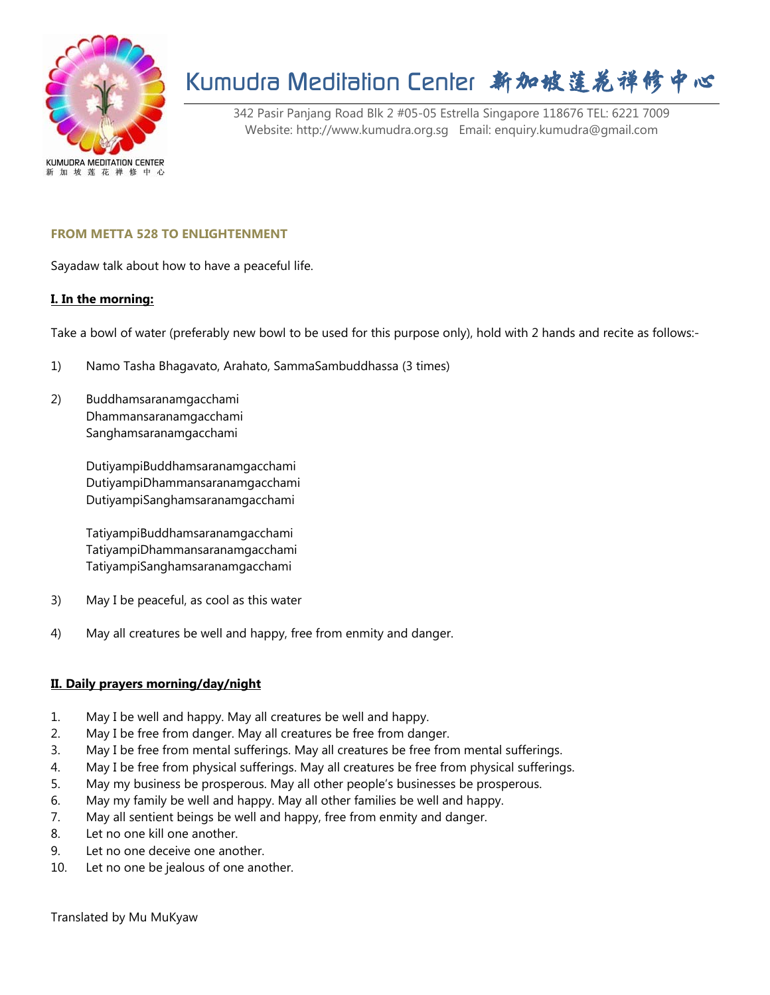

# Kumudra Meditation Center 新加坡莲花禅修中心

342 Pasir Panjang Road Blk 2 #05-05 Estrella Singapore 118676 TEL: 6221 7009 Website: http://www.kumudra.org.sg Email: enquiry.kumudra@gmail.com

### **FROM METTA 528 TO ENLIGHTENMENT**

Sayadaw talk about how to have a peaceful life.

#### **I. In the morning:**

Take a bowl of water (preferably new bowl to be used for this purpose only), hold with 2 hands and recite as follows:-

- 1) Namo Tasha Bhagavato, Arahato, SammaSambuddhassa (3 times)
- 2) Buddhamsaranamgacchami Dhammansaranamgacchami Sanghamsaranamgacchami

DutiyampiBuddhamsaranamgacchami DutiyampiDhammansaranamgacchami DutiyampiSanghamsaranamgacchami

TatiyampiBuddhamsaranamgacchami TatiyampiDhammansaranamgacchami TatiyampiSanghamsaranamgacchami

- 3) May I be peaceful, as cool as this water
- 4) May all creatures be well and happy, free from enmity and danger.

### **II. Daily prayers morning/day/night**

- 1. May I be well and happy. May all creatures be well and happy.
- 2. May I be free from danger. May all creatures be free from danger.
- 3. May I be free from mental sufferings. May all creatures be free from mental sufferings.
- 4. May I be free from physical sufferings. May all creatures be free from physical sufferings.
- 5. May my business be prosperous. May all other people's businesses be prosperous.
- 6. May my family be well and happy. May all other families be well and happy.
- 7. May all sentient beings be well and happy, free from enmity and danger.
- 8. Let no one kill one another.
- 9. Let no one deceive one another.
- 10. Let no one be jealous of one another.

Translated by Mu MuKyaw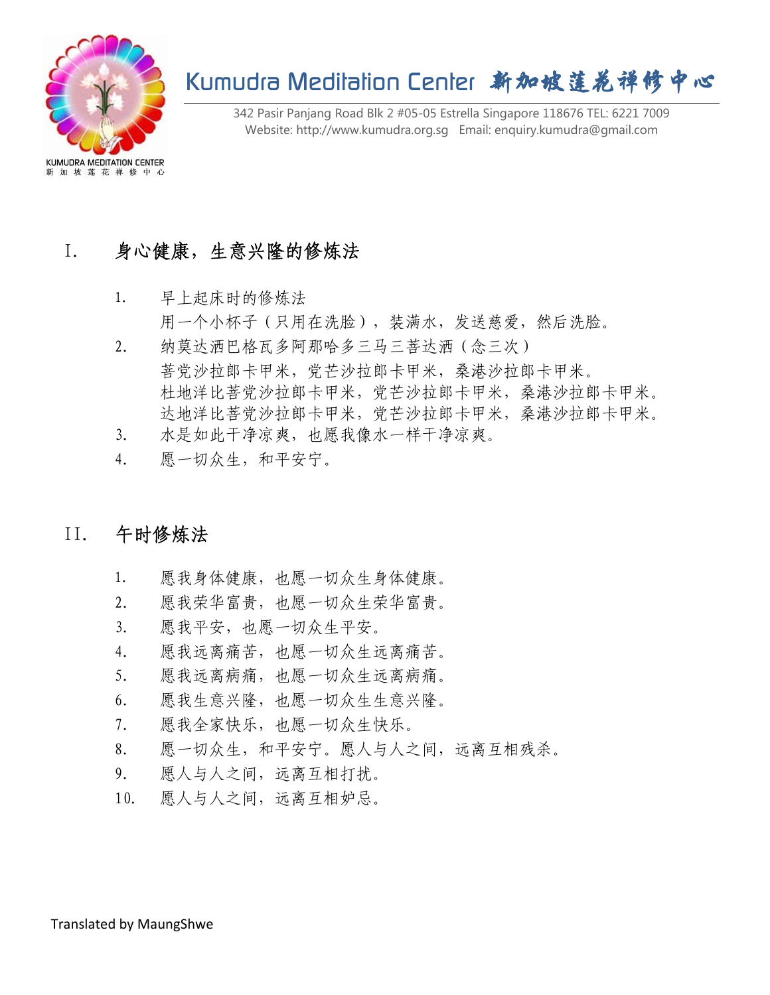

# Kumudra Meditation Center 新加坡莲花禅修中心

342 Pasir Panjang Road Blk 2 #05-05 Estrella Singapore 118676 TEL: 6221 7009 Website: http://www.kumudra.org.sg Email: enquiry.kumudra@gmail.com

## I. 身心健康,生意兴隆的修炼法

- 1. 早上起床时的修炼法 用一个小杯子(只用在洗脸),装满水,发送慈爱,然后洗脸。
- 2. 纳莫达洒巴格瓦多阿那哈多三马三菩达洒(念三次) 菩党沙拉郎卡甲米,党芒沙拉郎卡甲米,桑港沙拉郎卡甲米。 杜地洋比菩党沙拉郎卡甲米,党芒沙拉郎卡甲米,桑港沙拉郎卡甲米。 达地洋比菩党沙拉郎卡甲米,党芒沙拉郎卡甲米,桑港沙拉郎卡甲米。
- 3. 水是如此干净凉爽,也愿我像水一样干净凉爽。
- 4. 愿一切众生,和平安宁。

### II. 午时修炼法

- 1. 愿我身体健康, 也愿一切众生身体健康。
- 2. 愿我荣华富贵,也愿一切众生荣华富贵。
- 3. 愿我平安,也愿一切众生平安。
- 4. 愿我远离痛苦,也愿一切众生远离痛苦。
- 5. 愿我远离病痛,也愿一切众生远离病痛。
- 6. 愿我生意兴隆,也愿一切众生生意兴隆。
- 7. 愿我全家快乐,也愿一切众生快乐。
- 8. 愿一切众生,和平安宁。愿人与人之间,远离互相残杀。
- 9. 愿人与人之间,远离互相打扰。
- 10. 愿人与人之间,远离互相妒忌。